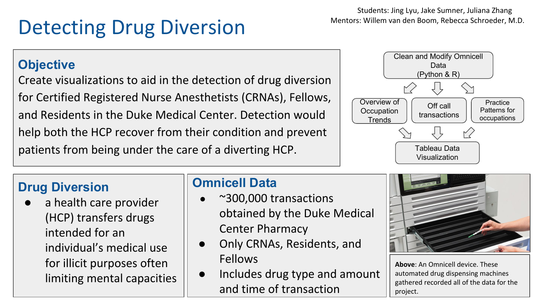# Detecting Drug Diversion

Students: Jing Lyu, Jake Sumner, Juliana Zhang Mentors: Willem van den Boom, Rebecca Schroeder, M.D.

#### **Objective**

Create visualizations to aid in the detection of drug diversion for Certified Registered Nurse Anesthetists (CRNAs), Fellows, and Residents in the Duke Medical Center. Detection would help both the HCP recover from their condition and prevent patients from being under the care of a diverting HCP.



### **Drug Diversion**

a health care provider (HCP) transfers drugs intended for an individual's medical use for illicit purposes often limiting mental capacities

#### **Omnicell Data**

- $\sim$  300,000 transactions obtained by the Duke Medical Center Pharmacy
- Only CRNAs, Residents, and Fellows
- Includes drug type and amount and time of transaction



**Above**: An Omnicell device. These automated drug dispensing machines gathered recorded all of the data for the project.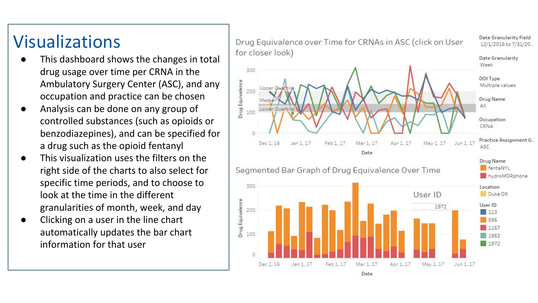## Visualizations

- This dashboard shows the changes in total drug usage over time per CRNA in the Ambulatory Surgery Center (ASC), and any occupation and practice can be chosen
- Analysis can be done on any group of controlled substances (such as opioids or benzodiazepines), and can be specified for a drug such as the opioid fentanyl
- This visualization uses the filters on the right side of the charts to also select for specific time periods, and to choose to look at the time in the different granularities of month, week, and day
- Clicking on a user in the line chart automatically updates the bar chart information for that user